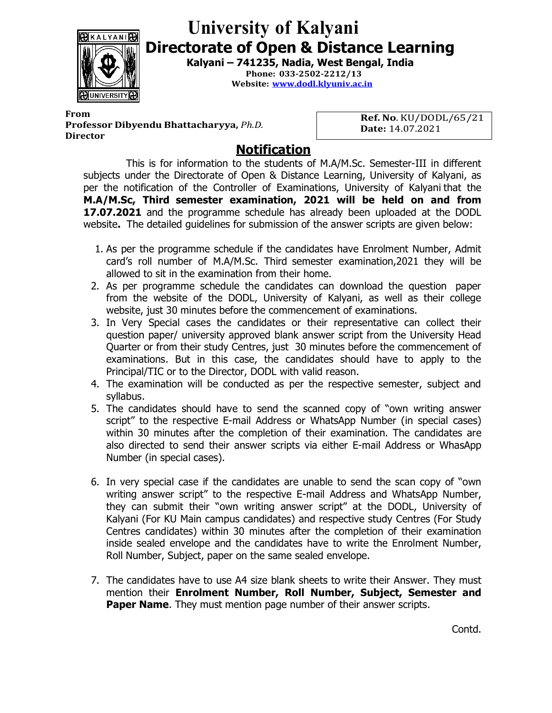

## University of Kalyani Directorate of Open & Distance Learning

Kalyani – 741235, Nadia, West Bengal, India

Phone: 033-2502-2212/13 Website: www.dodl.klyuniv.ac.in

From **Example 20** From **Example 20 For the Second 20 For the Second 20 For the Second 20 For the Second 20 For the Second 20 For the Second 20 For the Second 20 For the Second 20 For the Second 20 For the Second 20 For the** Professor Dibyendu Bhattacharyya, Ph.D. **Director** 

Ref. No. KU/DODL/65/21 Date: 14.07.2021

## Notification

This is for information to the students of M.A/M.Sc. Semester-III in different subjects under the Directorate of Open & Distance Learning, University of Kalyani, as per the notification of the Controller of Examinations, University of Kalyani that the M.A/M.Sc, Third semester examination, 2021 will be held on and from 17.07.2021 and the programme schedule has already been uploaded at the DODL website. The detailed guidelines for submission of the answer scripts are given below:

- 1. As per the programme schedule if the candidates have Enrolment Number, Admit card's roll number of M.A/M.Sc. Third semester examination,2021 they will be allowed to sit in the examination from their home.
- 2. As per programme schedule the candidates can download the question paper from the website of the DODL, University of Kalyani, as well as their college website, just 30 minutes before the commencement of examinations.
- 3. In Very Special cases the candidates or their representative can collect their question paper/ university approved blank answer script from the University Head Quarter or from their study Centres, just 30 minutes before the commencement of examinations. But in this case, the candidates should have to apply to the Principal/TIC or to the Director, DODL with valid reason.
- 4. The examination will be conducted as per the respective semester, subject and syllabus.
- 5. The candidates should have to send the scanned copy of "own writing answer script" to the respective E-mail Address or WhatsApp Number (in special cases) within 30 minutes after the completion of their examination. The candidates are also directed to send their answer scripts via either E-mail Address or WhasApp Number (in special cases).
- 6. In very special case if the candidates are unable to send the scan copy of "own writing answer script" to the respective E-mail Address and WhatsApp Number, they can submit their "own writing answer script" at the DODL, University of Kalyani (For KU Main campus candidates) and respective study Centres (For Study Centres candidates) within 30 minutes after the completion of their examination inside sealed envelope and the candidates have to write the Enrolment Number, Roll Number, Subject, paper on the same sealed envelope.
- 7. The candidates have to use A4 size blank sheets to write their Answer. They must mention their Enrolment Number, Roll Number, Subject, Semester and **Paper Name.** They must mention page number of their answer scripts.

Contd.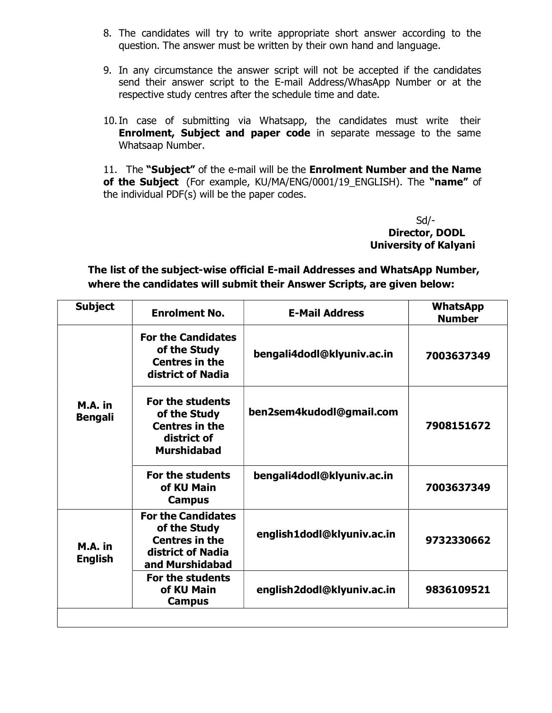- 8. The candidates will try to write appropriate short answer according to the question. The answer must be written by their own hand and language.
- 9. In any circumstance the answer script will not be accepted if the candidates send their answer script to the E-mail Address/WhasApp Number or at the respective study centres after the schedule time and date.
- 10.In case of submitting via Whatsapp, the candidates must write their **Enrolment, Subject and paper code** in separate message to the same Whatsaap Number.

11. The "Subject" of the e-mail will be the Enrolment Number and the Name of the Subject (For example, KU/MA/ENG/0001/19\_ENGLISH). The "name" of the individual PDF(s) will be the paper codes.

> Sd/- Director, DODL University of Kalyani

The list of the subject-wise official E-mail Addresses and WhatsApp Number, where the candidates will submit their Answer Scripts, are given below:

| <b>Subject</b>            | <b>Enrolment No.</b>                                                                                       | <b>E-Mail Address</b>      | <b>WhatsApp</b><br><b>Number</b> |
|---------------------------|------------------------------------------------------------------------------------------------------------|----------------------------|----------------------------------|
| M.A. in<br><b>Bengali</b> | <b>For the Candidates</b><br>of the Study<br><b>Centres in the</b><br>district of Nadia                    | bengali4dodl@klyuniv.ac.in | 7003637349                       |
|                           | For the students<br>of the Study<br><b>Centres in the</b><br>district of<br><b>Murshidabad</b>             | ben2sem4kudodl@gmail.com   | 7908151672                       |
|                           | For the students<br>of KU Main<br><b>Campus</b>                                                            | bengali4dodl@klyuniv.ac.in | 7003637349                       |
| M.A. in<br><b>English</b> | <b>For the Candidates</b><br>of the Study<br><b>Centres in the</b><br>district of Nadia<br>and Murshidabad | english1dodl@klyuniv.ac.in | 9732330662                       |
|                           | For the students<br>of KU Main<br><b>Campus</b>                                                            | english2dodl@klyuniv.ac.in | 9836109521                       |
|                           |                                                                                                            |                            |                                  |